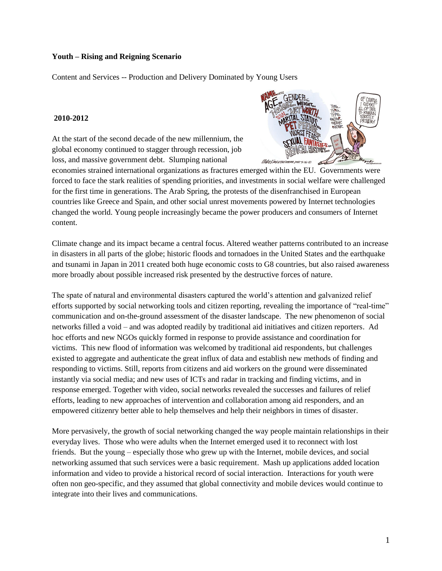#### **Youth – Rising and Reigning Scenario**

Content and Services -- Production and Delivery Dominated by Young Users

#### **2010-2012**

At the start of the second decade of the new millennium, the global economy continued to stagger through recession, job loss, and massive government debt. Slumping national



economies strained international organizations as fractures emerged within the EU. Governments were forced to face the stark realities of spending priorities, and investments in social welfare were challenged for the first time in generations. The Arab Spring, the protests of the disenfranchised in European countries like Greece and Spain, and other social unrest movements powered by Internet technologies changed the world. Young people increasingly became the power producers and consumers of Internet content.

Climate change and its impact became a central focus. Altered weather patterns contributed to an increase in disasters in all parts of the globe; historic floods and tornadoes in the United States and the earthquake and tsunami in Japan in 2011 created both huge economic costs to G8 countries, but also raised awareness more broadly about possible increased risk presented by the destructive forces of nature.

The spate of natural and environmental disasters captured the world"s attention and galvanized relief efforts supported by social networking tools and citizen reporting, revealing the importance of "real-time" communication and on-the-ground assessment of the disaster landscape. The new phenomenon of social networks filled a void – and was adopted readily by traditional aid initiatives and citizen reporters. Ad hoc efforts and new NGOs quickly formed in response to provide assistance and coordination for victims. This new flood of information was welcomed by traditional aid respondents, but challenges existed to aggregate and authenticate the great influx of data and establish new methods of finding and responding to victims. Still, reports from citizens and aid workers on the ground were disseminated instantly via social media; and new uses of ICTs and radar in tracking and finding victims, and in response emerged. Together with video, social networks revealed the successes and failures of relief efforts, leading to new approaches of intervention and collaboration among aid responders, and an empowered citizenry better able to help themselves and help their neighbors in times of disaster.

More pervasively, the growth of social networking changed the way people maintain relationships in their everyday lives. Those who were adults when the Internet emerged used it to reconnect with lost friends. But the young – especially those who grew up with the Internet, mobile devices, and social networking assumed that such services were a basic requirement. Mash up applications added location information and video to provide a historical record of social interaction. Interactions for youth were often non geo-specific, and they assumed that global connectivity and mobile devices would continue to integrate into their lives and communications.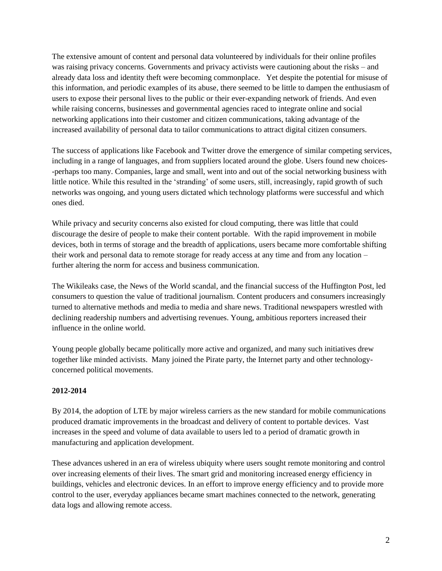The extensive amount of content and personal data volunteered by individuals for their online profiles was raising privacy concerns. Governments and privacy activists were cautioning about the risks – and already data loss and identity theft were becoming commonplace. Yet despite the potential for misuse of this information, and periodic examples of its abuse, there seemed to be little to dampen the enthusiasm of users to expose their personal lives to the public or their ever-expanding network of friends. And even while raising concerns, businesses and governmental agencies raced to integrate online and social networking applications into their customer and citizen communications, taking advantage of the increased availability of personal data to tailor communications to attract digital citizen consumers.

The success of applications like Facebook and Twitter drove the emergence of similar competing services, including in a range of languages, and from suppliers located around the globe. Users found new choices- -perhaps too many. Companies, large and small, went into and out of the social networking business with little notice. While this resulted in the "stranding" of some users, still, increasingly, rapid growth of such networks was ongoing, and young users dictated which technology platforms were successful and which ones died.

While privacy and security concerns also existed for cloud computing, there was little that could discourage the desire of people to make their content portable. With the rapid improvement in mobile devices, both in terms of storage and the breadth of applications, users became more comfortable shifting their work and personal data to remote storage for ready access at any time and from any location – further altering the norm for access and business communication.

The Wikileaks case, the News of the World scandal, and the financial success of the Huffington Post, led consumers to question the value of traditional journalism. Content producers and consumers increasingly turned to alternative methods and media to media and share news. Traditional newspapers wrestled with declining readership numbers and advertising revenues. Young, ambitious reporters increased their influence in the online world.

Young people globally became politically more active and organized, and many such initiatives drew together like minded activists. Many joined the Pirate party, the Internet party and other technologyconcerned political movements.

# **2012-2014**

By 2014, the adoption of LTE by major wireless carriers as the new standard for mobile communications produced dramatic improvements in the broadcast and delivery of content to portable devices. Vast increases in the speed and volume of data available to users led to a period of dramatic growth in manufacturing and application development.

These advances ushered in an era of wireless ubiquity where users sought remote monitoring and control over increasing elements of their lives. The smart grid and monitoring increased energy efficiency in buildings, vehicles and electronic devices. In an effort to improve energy efficiency and to provide more control to the user, everyday appliances became smart machines connected to the network, generating data logs and allowing remote access.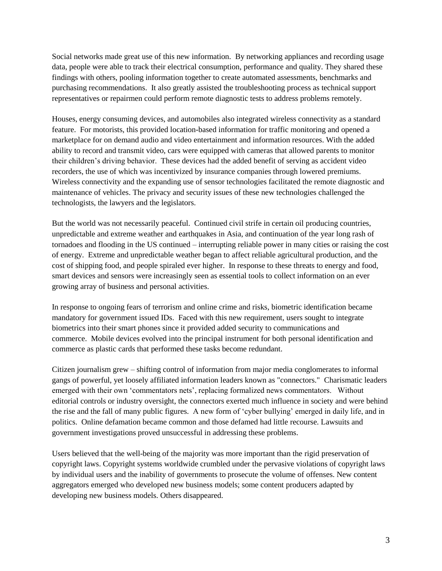Social networks made great use of this new information. By networking appliances and recording usage data, people were able to track their electrical consumption, performance and quality. They shared these findings with others, pooling information together to create automated assessments, benchmarks and purchasing recommendations. It also greatly assisted the troubleshooting process as technical support representatives or repairmen could perform remote diagnostic tests to address problems remotely.

Houses, energy consuming devices, and automobiles also integrated wireless connectivity as a standard feature. For motorists, this provided location-based information for traffic monitoring and opened a marketplace for on demand audio and video entertainment and information resources. With the added ability to record and transmit video, cars were equipped with cameras that allowed parents to monitor their children"s driving behavior. These devices had the added benefit of serving as accident video recorders, the use of which was incentivized by insurance companies through lowered premiums. Wireless connectivity and the expanding use of sensor technologies facilitated the remote diagnostic and maintenance of vehicles. The privacy and security issues of these new technologies challenged the technologists, the lawyers and the legislators.

But the world was not necessarily peaceful. Continued civil strife in certain oil producing countries, unpredictable and extreme weather and earthquakes in Asia, and continuation of the year long rash of tornadoes and flooding in the US continued – interrupting reliable power in many cities or raising the cost of energy. Extreme and unpredictable weather began to affect reliable agricultural production, and the cost of shipping food, and people spiraled ever higher. In response to these threats to energy and food, smart devices and sensors were increasingly seen as essential tools to collect information on an ever growing array of business and personal activities.

In response to ongoing fears of terrorism and online crime and risks, biometric identification became mandatory for government issued IDs. Faced with this new requirement, users sought to integrate biometrics into their smart phones since it provided added security to communications and commerce. Mobile devices evolved into the principal instrument for both personal identification and commerce as plastic cards that performed these tasks become redundant.

Citizen journalism grew – shifting control of information from major media conglomerates to informal gangs of powerful, yet loosely affiliated information leaders known as "connectors." Charismatic leaders emerged with their own "commentators nets", replacing formalized news commentators. Without editorial controls or industry oversight, the connectors exerted much influence in society and were behind the rise and the fall of many public figures. A new form of "cyber bullying" emerged in daily life, and in politics. Online defamation became common and those defamed had little recourse. Lawsuits and government investigations proved unsuccessful in addressing these problems.

Users believed that the well-being of the majority was more important than the rigid preservation of copyright laws. Copyright systems worldwide crumbled under the pervasive violations of copyright laws by individual users and the inability of governments to prosecute the volume of offenses. New content aggregators emerged who developed new business models; some content producers adapted by developing new business models. Others disappeared.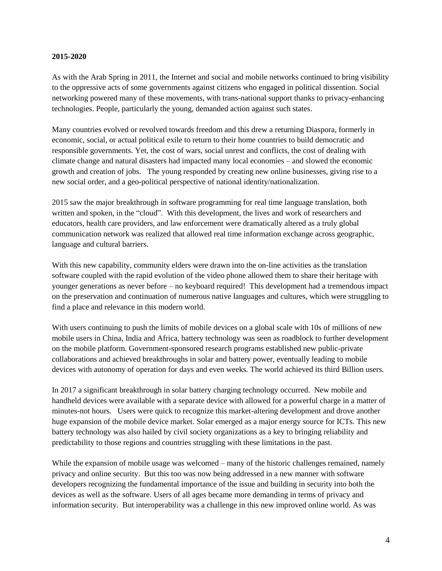### **2015-2020**

As with the Arab Spring in 2011, the Internet and social and mobile networks continued to bring visibility to the oppressive acts of some governments against citizens who engaged in political dissention. Social networking powered many of these movements, with trans-national support thanks to privacy-enhancing technologies. People, particularly the young, demanded action against such states.

Many countries evolved or revolved towards freedom and this drew a returning Diaspora, formerly in economic, social, or actual political exile to return to their home countries to build democratic and responsible governments. Yet, the cost of wars, social unrest and conflicts, the cost of dealing with climate change and natural disasters had impacted many local economies – and slowed the economic growth and creation of jobs. The young responded by creating new online businesses, giving rise to a new social order, and a geo-political perspective of national identity/nationalization.

2015 saw the major breakthrough in software programming for real time language translation, both written and spoken, in the "cloud". With this development, the lives and work of researchers and educators, health care providers, and law enforcement were dramatically altered as a truly global communication network was realized that allowed real time information exchange across geographic, language and cultural barriers.

With this new capability, community elders were drawn into the on-line activities as the translation software coupled with the rapid evolution of the video phone allowed them to share their heritage with younger generations as never before – no keyboard required! This development had a tremendous impact on the preservation and continuation of numerous native languages and cultures, which were struggling to find a place and relevance in this modern world.

With users continuing to push the limits of mobile devices on a global scale with 10s of millions of new mobile users in China, India and Africa, battery technology was seen as roadblock to further development on the mobile platform. Government-sponsored research programs established new public-private collaborations and achieved breakthroughs in solar and battery power, eventually leading to mobile devices with autonomy of operation for days and even weeks. The world achieved its third Billion users.

In 2017 a significant breakthrough in solar battery charging technology occurred. New mobile and handheld devices were available with a separate device with allowed for a powerful charge in a matter of minutes-not hours. Users were quick to recognize this market-altering development and drove another huge expansion of the mobile device market. Solar emerged as a major energy source for ICTs. This new battery technology was also hailed by civil society organizations as a key to bringing reliability and predictability to those regions and countries struggling with these limitations in the past.

While the expansion of mobile usage was welcomed – many of the historic challenges remained, namely privacy and online security. But this too was now being addressed in a new manner with software developers recognizing the fundamental importance of the issue and building in security into both the devices as well as the software. Users of all ages became more demanding in terms of privacy and information security. But interoperability was a challenge in this new improved online world. As was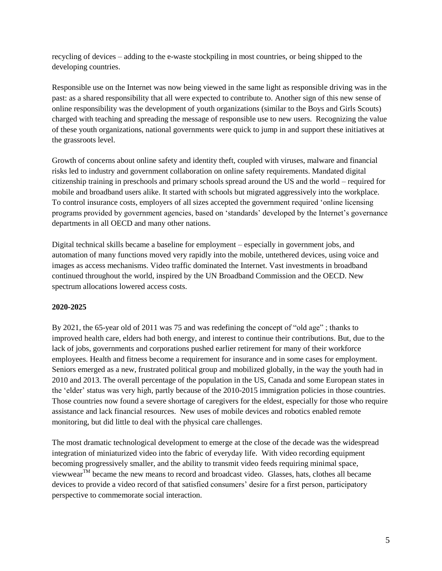recycling of devices – adding to the e-waste stockpiling in most countries, or being shipped to the developing countries.

Responsible use on the Internet was now being viewed in the same light as responsible driving was in the past: as a shared responsibility that all were expected to contribute to. Another sign of this new sense of online responsibility was the development of youth organizations (similar to the Boys and Girls Scouts) charged with teaching and spreading the message of responsible use to new users. Recognizing the value of these youth organizations, national governments were quick to jump in and support these initiatives at the grassroots level.

Growth of concerns about online safety and identity theft, coupled with viruses, malware and financial risks led to industry and government collaboration on online safety requirements. Mandated digital citizenship training in preschools and primary schools spread around the US and the world – required for mobile and broadband users alike. It started with schools but migrated aggressively into the workplace. To control insurance costs, employers of all sizes accepted the government required "online licensing programs provided by government agencies, based on "standards" developed by the Internet"s governance departments in all OECD and many other nations.

Digital technical skills became a baseline for employment – especially in government jobs, and automation of many functions moved very rapidly into the mobile, untethered devices, using voice and images as access mechanisms. Video traffic dominated the Internet. Vast investments in broadband continued throughout the world, inspired by the UN Broadband Commission and the OECD. New spectrum allocations lowered access costs.

# **2020-2025**

By 2021, the 65-year old of 2011 was 75 and was redefining the concept of "old age" ; thanks to improved health care, elders had both energy, and interest to continue their contributions. But, due to the lack of jobs, governments and corporations pushed earlier retirement for many of their workforce employees. Health and fitness become a requirement for insurance and in some cases for employment. Seniors emerged as a new, frustrated political group and mobilized globally, in the way the youth had in 2010 and 2013. The overall percentage of the population in the US, Canada and some European states in the "elder" status was very high, partly because of the 2010-2015 immigration policies in those countries. Those countries now found a severe shortage of caregivers for the eldest, especially for those who require assistance and lack financial resources. New uses of mobile devices and robotics enabled remote monitoring, but did little to deal with the physical care challenges.

The most dramatic technological development to emerge at the close of the decade was the widespread integration of miniaturized video into the fabric of everyday life. With video recording equipment becoming progressively smaller, and the ability to transmit video feeds requiring minimal space, viewwearTM became the new means to record and broadcast video. Glasses, hats, clothes all became devices to provide a video record of that satisfied consumers" desire for a first person, participatory perspective to commemorate social interaction.